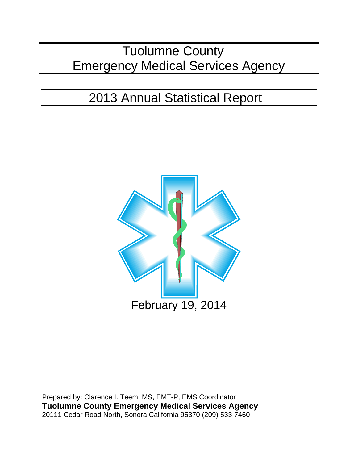# Tuolumne County Emergency Medical Services Agency

# 2013 Annual Statistical Report



Prepared by: Clarence I. Teem, MS, EMT-P, EMS Coordinator **Tuolumne County Emergency Medical Services Agency** 20111 Cedar Road North, Sonora California 95370 (209) 533-7460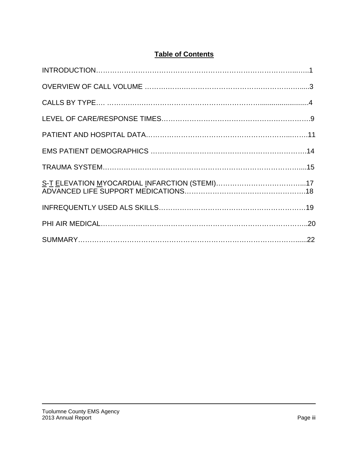## **Table of Contents**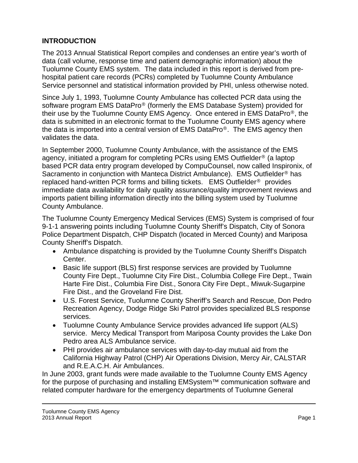#### **INTRODUCTION**

The 2013 Annual Statistical Report compiles and condenses an entire year's worth of data (call volume, response time and patient demographic information) about the Tuolumne County EMS system. The data included in this report is derived from prehospital patient care records (PCRs) completed by Tuolumne County Ambulance Service personnel and statistical information provided by PHI, unless otherwise noted.

Since July 1, 1993, Tuolumne County Ambulance has collected PCR data using the software program EMS DataPro® (formerly the EMS Database System) provided for their use by the Tuolumne County EMS Agency. Once entered in EMS DataPro®, the data is submitted in an electronic format to the Tuolumne County EMS agency where the data is imported into a central version of EMS DataPro®. The EMS agency then validates the data.

In September 2000, Tuolumne County Ambulance, with the assistance of the EMS agency, initiated a program for completing PCRs using EMS Outfielder® (a laptop based PCR data entry program developed by CompuCounsel, now called Inspironix, of Sacramento in conjunction with Manteca District Ambulance). EMS Outfielder® has replaced hand-written PCR forms and billing tickets. EMS Outfielder® provides immediate data availability for daily quality assurance/quality improvement reviews and imports patient billing information directly into the billing system used by Tuolumne County Ambulance.

The Tuolumne County Emergency Medical Services (EMS) System is comprised of four 9-1-1 answering points including Tuolumne County Sheriff's Dispatch, City of Sonora Police Department Dispatch, CHP Dispatch (located in Merced County) and Mariposa County Sheriff's Dispatch.

- Ambulance dispatching is provided by the Tuolumne County Sheriff's Dispatch Center.
- Basic life support (BLS) first response services are provided by Tuolumne County Fire Dept., Tuolumne City Fire Dist., Columbia College Fire Dept., Twain Harte Fire Dist., Columbia Fire Dist., Sonora City Fire Dept., Miwuk-Sugarpine Fire Dist., and the Groveland Fire Dist.
- U.S. Forest Service, Tuolumne County Sheriff's Search and Rescue, Don Pedro Recreation Agency, Dodge Ridge Ski Patrol provides specialized BLS response services.
- Tuolumne County Ambulance Service provides advanced life support (ALS) service. Mercy Medical Transport from Mariposa County provides the Lake Don Pedro area ALS Ambulance service.
- PHI provides air ambulance services with day-to-day mutual aid from the California Highway Patrol (CHP) Air Operations Division, Mercy Air, CALSTAR and R.E.A.C.H. Air Ambulances.

In June 2003, grant funds were made available to the Tuolumne County EMS Agency for the purpose of purchasing and installing EMSystem™ communication software and related computer hardware for the emergency departments of Tuolumne General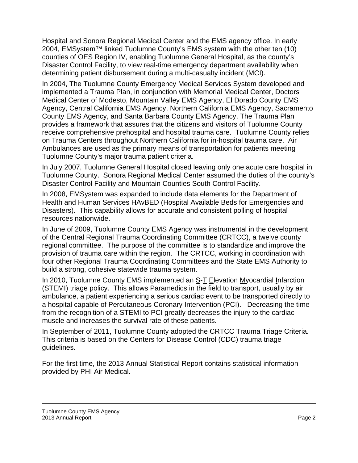Hospital and Sonora Regional Medical Center and the EMS agency office. In early 2004, EMSystem™ linked Tuolumne County's EMS system with the other ten (10) counties of OES Region IV, enabling Tuolumne General Hospital, as the county's Disaster Control Facility, to view real-time emergency department availability when determining patient disbursement during a multi-casualty incident (MCI).

In 2004, The Tuolumne County Emergency Medical Services System developed and implemented a Trauma Plan, in conjunction with Memorial Medical Center, Doctors Medical Center of Modesto, Mountain Valley EMS Agency, El Dorado County EMS Agency, Central California EMS Agency, Northern California EMS Agency, Sacramento County EMS Agency, and Santa Barbara County EMS Agency. The Trauma Plan provides a framework that assures that the citizens and visitors of Tuolumne County receive comprehensive prehospital and hospital trauma care. Tuolumne County relies on Trauma Centers throughout Northern California for in-hospital trauma care. Air Ambulances are used as the primary means of transportation for patients meeting Tuolumne County's major trauma patient criteria.

In July 2007, Tuolumne General Hospital closed leaving only one acute care hospital in Tuolumne County. Sonora Regional Medical Center assumed the duties of the county's Disaster Control Facility and Mountain Counties South Control Facility.

In 2008, EMSystem was expanded to include data elements for the Department of Health and Human Services HAvBED (Hospital Available Beds for Emergencies and Disasters). This capability allows for accurate and consistent polling of hospital resources nationwide.

In June of 2009, Tuolumne County EMS Agency was instrumental in the development of the Central Regional Trauma Coordinating Committee (CRTCC), a twelve county regional committee. The purpose of the committee is to standardize and improve the provision of trauma care within the region. The CRTCC, working in coordination with four other Regional Trauma Coordinating Committees and the State EMS Authority to build a strong, cohesive statewide trauma system.

In 2010, Tuolumne County EMS implemented an S-T Elevation Myocardial Infarction (STEMI) triage policy. This allows Paramedics in the field to transport, usually by air ambulance, a patient experiencing a serious cardiac event to be transported directly to a hospital capable of Percutaneous Coronary Intervention (PCI). Decreasing the time from the recognition of a STEMI to PCI greatly decreases the injury to the cardiac muscle and increases the survival rate of these patients.

In September of 2011, Tuolumne County adopted the CRTCC Trauma Triage Criteria. This criteria is based on the Centers for Disease Control (CDC) trauma triage guidelines.

For the first time, the 2013 Annual Statistical Report contains statistical information provided by PHI Air Medical.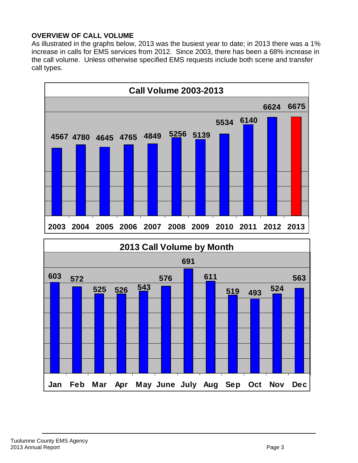#### **OVERVIEW OF CALL VOLUME**

As illustrated in the graphs below, 2013 was the busiest year to date; in 2013 there was a 1% increase in calls for EMS services from 2012. Since 2003, there has been a 68% increase in the call volume. Unless otherwise specified EMS requests include both scene and transfer call types.

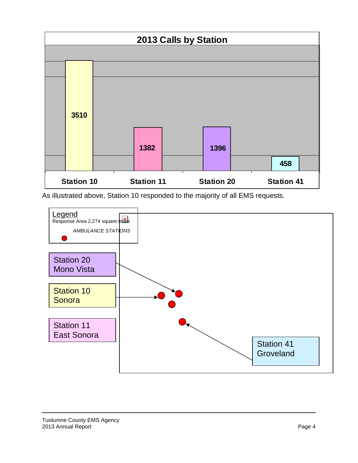

As illustrated above, Station 10 responded to the majority of all EMS requests.

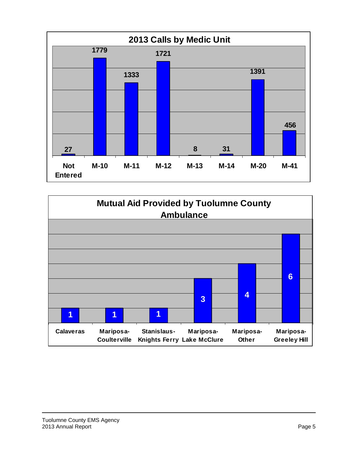

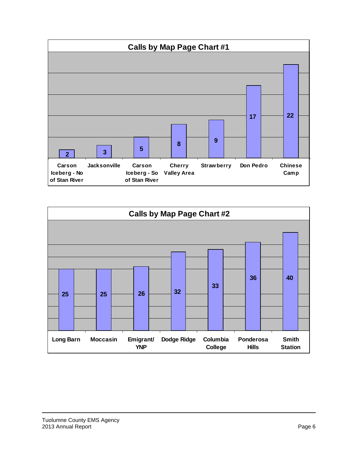

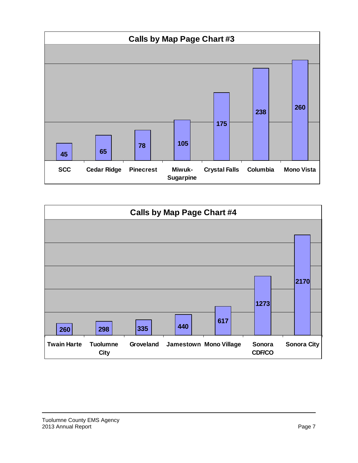

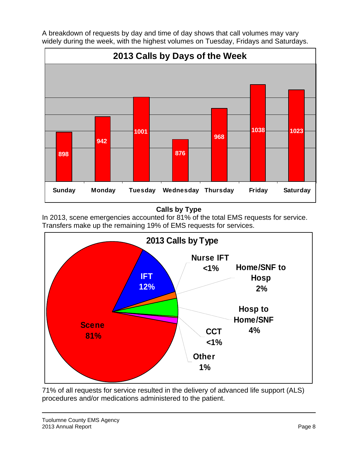

A breakdown of requests by day and time of day shows that call volumes may vary widely during the week, with the highest volumes on Tuesday, Fridays and Saturdays.

## **Calls by Type**

In 2013, scene emergencies accounted for 81% of the total EMS requests for service. Transfers make up the remaining 19% of EMS requests for services.



71% of all requests for service resulted in the delivery of advanced life support (ALS) procedures and/or medications administered to the patient.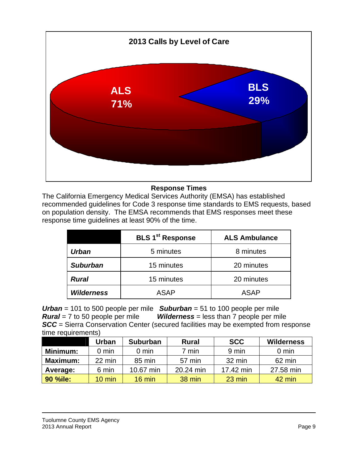

#### **Response Times**

The California Emergency Medical Services Authority (EMSA) has established recommended guidelines for Code 3 response time standards to EMS requests, based on population density. The EMSA recommends that EMS responses meet these response time guidelines at least 90% of the time.

|                   | <b>BLS 1<sup>st</sup> Response</b> | <b>ALS Ambulance</b> |  |
|-------------------|------------------------------------|----------------------|--|
| Urban             | 5 minutes                          | 8 minutes            |  |
| <b>Suburban</b>   | 15 minutes                         | 20 minutes           |  |
| <b>Rural</b>      | 15 minutes                         | 20 minutes           |  |
| <b>Wilderness</b> | <b>ASAP</b>                        | <b>ASAP</b>          |  |

*Urban* = 101 to 500 people per mile *Suburban* = 51 to 100 people per mile *Wilderness* = less than 7 people per mile **SCC** = Sierra Conservation Center (secured facilities may be exempted from response time requirements)

|                 | Urban            | <b>Suburban</b>  | <b>Rural</b> | <b>SCC</b>       | <b>Wilderness</b> |
|-----------------|------------------|------------------|--------------|------------------|-------------------|
| Minimum:        | $0 \text{ min}$  | $0 \text{ min}$  | 7 min        | 9 min            | $0 \text{ min}$   |
| <b>Maximum:</b> | 22 min           | 85 min           | 57 min       | 32 min           | 62 min            |
| Average:        | 6 min            | 10.67 min        | 20.24 min    | 17.42 min        | 27.58 min         |
| <b>90 %ile:</b> | $10 \text{ min}$ | $16 \text{ min}$ | 38 min       | $23 \text{ min}$ | 42 min            |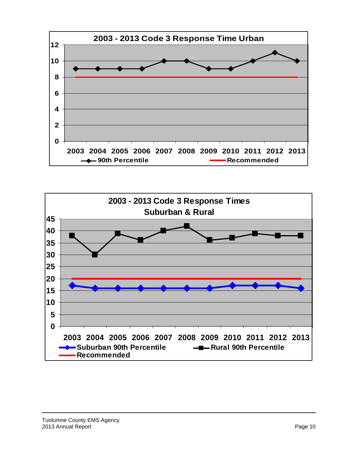

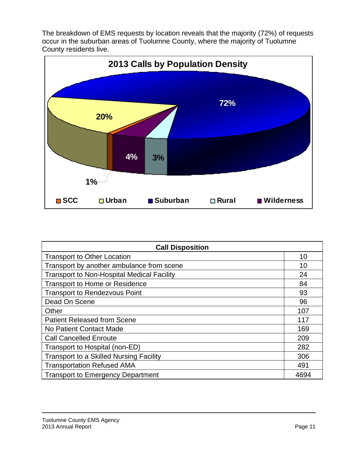The breakdown of EMS requests by location reveals that the majority (72%) of requests occur in the suburban areas of Tuolumne County, where the majority of Tuolumne County residents live.



| <b>Call Disposition</b>                           |      |  |  |
|---------------------------------------------------|------|--|--|
| <b>Transport to Other Location</b>                | 10   |  |  |
| Transport by another ambulance from scene         | 10   |  |  |
| <b>Transport to Non-Hospital Medical Facility</b> | 24   |  |  |
| <b>Transport to Home or Residence</b>             | 84   |  |  |
| <b>Transport to Rendezvous Point</b>              | 93   |  |  |
| Dead On Scene                                     | 96   |  |  |
| Other                                             | 107  |  |  |
| <b>Patient Released from Scene</b>                | 117  |  |  |
| No Patient Contact Made                           | 169  |  |  |
| <b>Call Cancelled Enroute</b>                     | 209  |  |  |
| Transport to Hospital (non-ED)                    | 282  |  |  |
| <b>Transport to a Skilled Nursing Facility</b>    | 306  |  |  |
| <b>Transportation Refused AMA</b>                 | 491  |  |  |
| <b>Transport to Emergency Department</b>          | 4694 |  |  |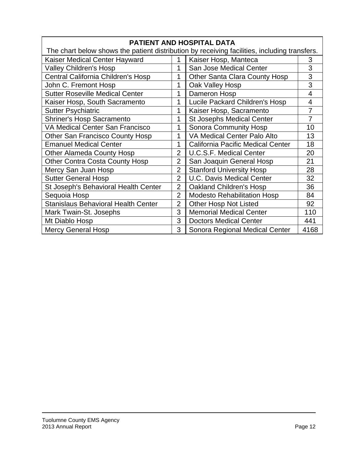| PATIENT AND HOSPITAL DATA                                                                    |                |                                      |                |  |  |
|----------------------------------------------------------------------------------------------|----------------|--------------------------------------|----------------|--|--|
| The chart below shows the patient distribution by receiving facilities, including transfers. |                |                                      |                |  |  |
| Kaiser Medical Center Hayward                                                                | 1              | Kaiser Hosp, Manteca                 | 3              |  |  |
| <b>Valley Children's Hosp</b>                                                                | 1              | San Jose Medical Center              | 3              |  |  |
| Central California Children's Hosp                                                           | 1              | <b>Other Santa Clara County Hosp</b> | 3              |  |  |
| John C. Fremont Hosp                                                                         | 1              | Oak Valley Hosp                      | 3              |  |  |
| <b>Sutter Roseville Medical Center</b>                                                       | 1              | Dameron Hosp                         | 4              |  |  |
| Kaiser Hosp, South Sacramento                                                                | 1              | Lucile Packard Children's Hosp       | 4              |  |  |
| <b>Sutter Psychiatric</b>                                                                    | 1              | Kaiser Hosp, Sacramento              | $\overline{7}$ |  |  |
| <b>Shriner's Hosp Sacramento</b>                                                             | 1              | <b>St Josephs Medical Center</b>     | 7              |  |  |
| <b>VA Medical Center San Francisco</b>                                                       | 1              | Sonora Community Hosp                | 10             |  |  |
| <b>Other San Francisco County Hosp</b>                                                       | 1              | VA Medical Center Palo Alto          | 13             |  |  |
| <b>Emanuel Medical Center</b>                                                                | 1              | California Pacific Medical Center    | 18             |  |  |
| <b>Other Alameda County Hosp</b>                                                             | $\overline{2}$ | <b>U.C.S.F. Medical Center</b>       | 20             |  |  |
| <b>Other Contra Costa County Hosp</b>                                                        | $\overline{2}$ | San Joaquin General Hosp             | 21             |  |  |
| Mercy San Juan Hosp                                                                          | $\overline{2}$ | <b>Stanford University Hosp</b>      | 28             |  |  |
| <b>Sutter General Hosp</b>                                                                   | $\overline{2}$ | <b>U.C. Davis Medical Center</b>     | 32             |  |  |
| St Joseph's Behavioral Health Center                                                         | $\overline{2}$ | <b>Oakland Children's Hosp</b>       | 36             |  |  |
| Sequoia Hosp                                                                                 | $\overline{2}$ | <b>Modesto Rehabilitation Hosp</b>   | 84             |  |  |
| <b>Stanislaus Behavioral Health Center</b>                                                   | $\overline{2}$ | <b>Other Hosp Not Listed</b>         | 92             |  |  |
| Mark Twain-St. Josephs                                                                       | 3              | <b>Memorial Medical Center</b>       | 110            |  |  |
| Mt Diablo Hosp                                                                               | 3              | <b>Doctors Medical Center</b>        | 441            |  |  |
| <b>Mercy General Hosp</b>                                                                    | 3              | Sonora Regional Medical Center       | 4168           |  |  |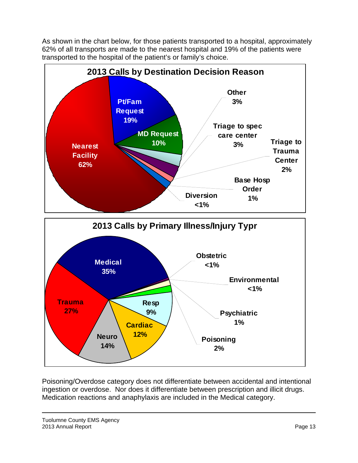As shown in the chart below, for those patients transported to a hospital, approximately 62% of all transports are made to the nearest hospital and 19% of the patients were transported to the hospital of the patient's or family's choice.



Poisoning/Overdose category does not differentiate between accidental and intentional ingestion or overdose. Nor does it differentiate between prescription and illicit drugs. Medication reactions and anaphylaxis are included in the Medical category.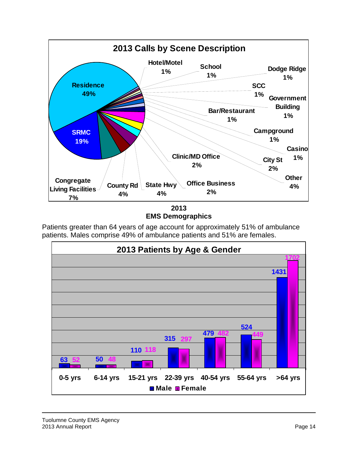

**EMS Demographics** 

Patients greater than 64 years of age account for approximately 51% of ambulance patients. Males comprise 49% of ambulance patients and 51% are females.

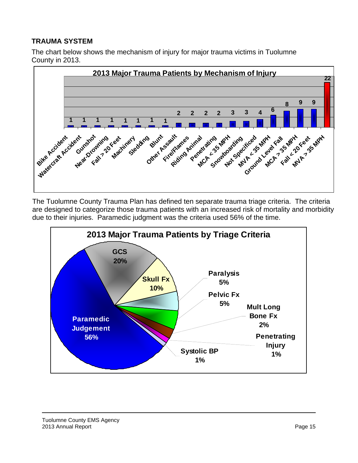### **TRAUMA SYSTEM**

The chart below shows the mechanism of injury for major trauma victims in Tuolumne County in 2013.



The Tuolumne County Trauma Plan has defined ten separate trauma triage criteria. The criteria are designed to categorize those trauma patients with an increased risk of mortality and morbidity due to their injuries. Paramedic judgment was the criteria used 56% of the time.

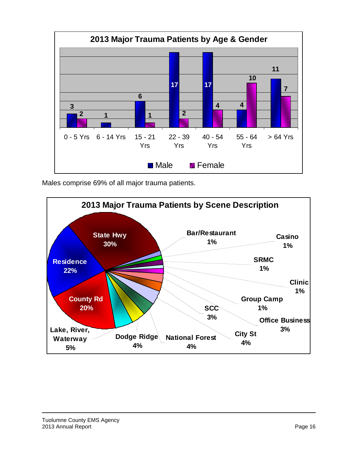

Males comprise 69% of all major trauma patients.

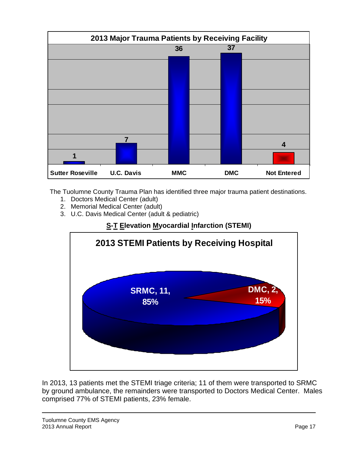

The Tuolumne County Trauma Plan has identified three major trauma patient destinations.

- 1. Doctors Medical Center (adult)
- 2. Memorial Medical Center (adult)
- 3. U.C. Davis Medical Center (adult & pediatric)

## **S-T Elevation Myocardial Infarction (STEMI)**



In 2013, 13 patients met the STEMI triage criteria; 11 of them were transported to SRMC by ground ambulance, the remainders were transported to Doctors Medical Center. Males comprised 77% of STEMI patients, 23% female.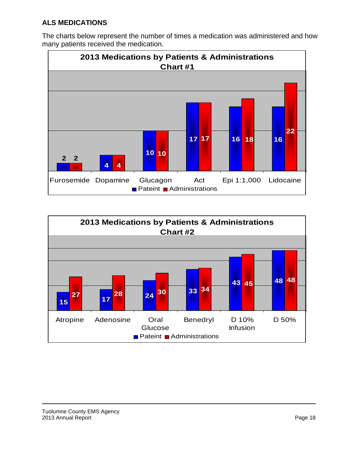#### **ALS MEDICATIONS**

The charts below represent the number of times a medication was administered and how many patients received the medication.



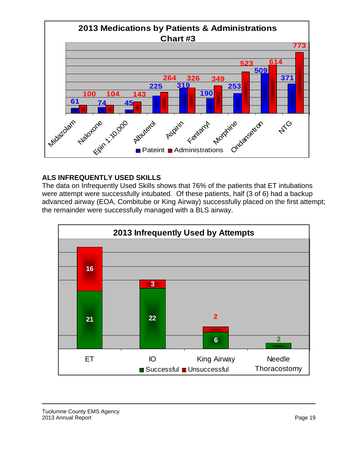

#### **ALS INFREQUENTLY USED SKILLS**

The data on Infrequently Used Skills shows that 76% of the patients that ET intubations were attempt were successfully intubated. Of these patients, half (3 of 6) had a backup advanced airway (EOA, Combitube or King Airway) successfully placed on the first attempt; the remainder were successfully managed with a BLS airway.

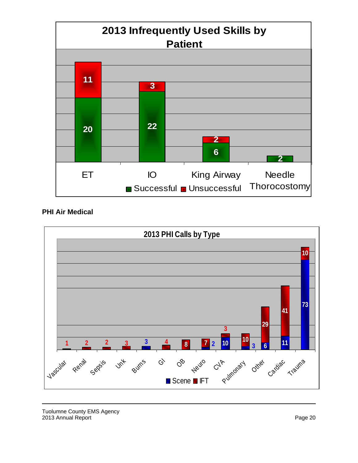

#### **PHI Air Medical**



Tuolumne County EMS Agency 2013 Annual Report **Page 20**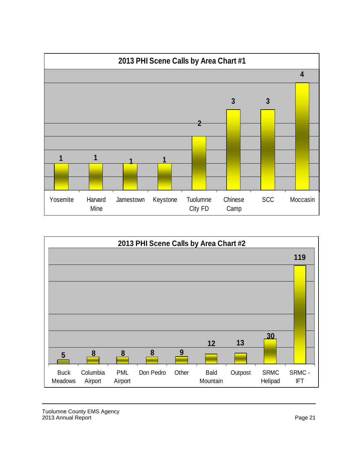